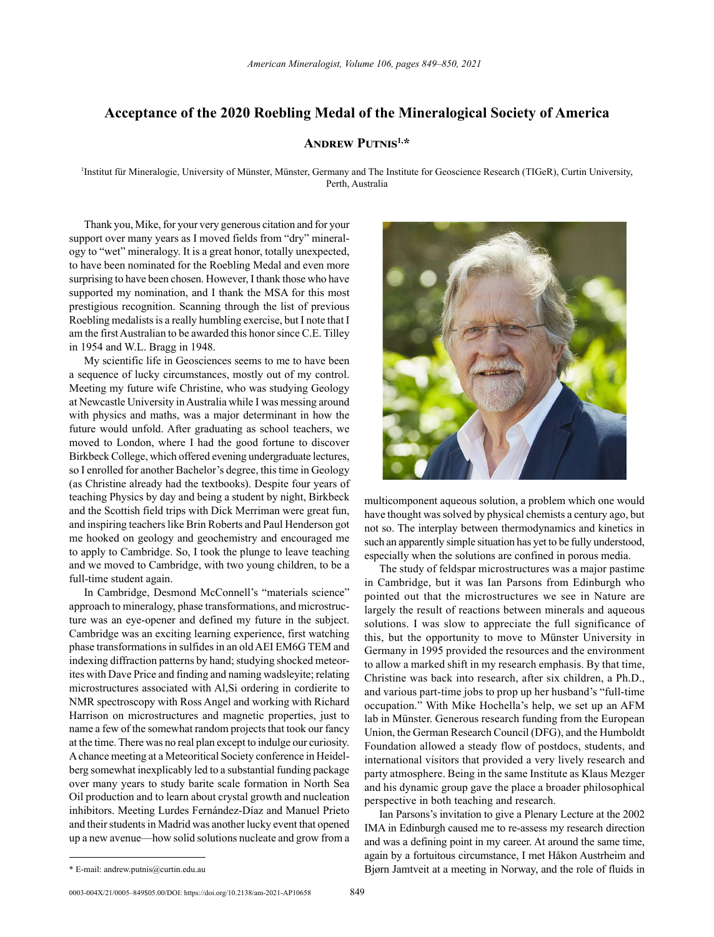## **Acceptance of the 2020 Roebling Medal of the Mineralogical Society of America**

## **Andrew Putnis1,\***

1 Institut für Mineralogie, University of Münster, Münster, Germany and The Institute for Geoscience Research (TIGeR), Curtin University, Perth, Australia

Thank you, Mike, for your very generous citation and for your support over many years as I moved fields from "dry" mineralogy to "wet" mineralogy. It is a great honor, totally unexpected, to have been nominated for the Roebling Medal and even more surprising to have been chosen. However, I thank those who have supported my nomination, and I thank the MSA for this most prestigious recognition. Scanning through the list of previous Roebling medalists is a really humbling exercise, but I note that I am the first Australian to be awarded this honor since C.E. Tilley in 1954 and W.L. Bragg in 1948.

My scientific life in Geosciences seems to me to have been a sequence of lucky circumstances, mostly out of my control. Meeting my future wife Christine, who was studying Geology at Newcastle University in Australia while I was messing around with physics and maths, was a major determinant in how the future would unfold. After graduating as school teachers, we moved to London, where I had the good fortune to discover Birkbeck College, which offered evening undergraduate lectures, so I enrolled for another Bachelor's degree, this time in Geology (as Christine already had the textbooks). Despite four years of teaching Physics by day and being a student by night, Birkbeck and the Scottish field trips with Dick Merriman were great fun, and inspiring teachers like Brin Roberts and Paul Henderson got me hooked on geology and geochemistry and encouraged me to apply to Cambridge. So, I took the plunge to leave teaching and we moved to Cambridge, with two young children, to be a full-time student again.

In Cambridge, Desmond McConnell's "materials science" approach to mineralogy, phase transformations, and microstructure was an eye-opener and defined my future in the subject. Cambridge was an exciting learning experience, first watching phase transformations in sulfides in an old AEI EM6G TEM and indexing diffraction patterns by hand; studying shocked meteorites with Dave Price and finding and naming wadsleyite; relating microstructures associated with Al,Si ordering in cordierite to NMR spectroscopy with Ross Angel and working with Richard Harrison on microstructures and magnetic properties, just to name a few of the somewhat random projects that took our fancy at the time. There was no real plan except to indulge our curiosity. A chance meeting at a Meteoritical Society conference in Heidelberg somewhat inexplicably led to a substantial funding package over many years to study barite scale formation in North Sea Oil production and to learn about crystal growth and nucleation inhibitors. Meeting Lurdes Fernández-Díaz and Manuel Prieto and their students in Madrid was another lucky event that opened up a new avenue—how solid solutions nucleate and grow from a



multicomponent aqueous solution, a problem which one would have thought was solved by physical chemists a century ago, but not so. The interplay between thermodynamics and kinetics in such an apparently simple situation has yet to be fully understood, especially when the solutions are confined in porous media.

The study of feldspar microstructures was a major pastime in Cambridge, but it was Ian Parsons from Edinburgh who pointed out that the microstructures we see in Nature are largely the result of reactions between minerals and aqueous solutions. I was slow to appreciate the full significance of this, but the opportunity to move to Münster University in Germany in 1995 provided the resources and the environment to allow a marked shift in my research emphasis. By that time, Christine was back into research, after six children, a Ph.D., and various part-time jobs to prop up her husband's "full-time occupation." With Mike Hochella's help, we set up an AFM lab in Münster. Generous research funding from the European Union, the German Research Council (DFG), and the Humboldt Foundation allowed a steady flow of postdocs, students, and international visitors that provided a very lively research and party atmosphere. Being in the same Institute as Klaus Mezger and his dynamic group gave the place a broader philosophical perspective in both teaching and research.

Ian Parsons's invitation to give a Plenary Lecture at the 2002 IMA in Edinburgh caused me to re-assess my research direction and was a defining point in my career. At around the same time, again by a fortuitous circumstance, I met Håkon Austrheim and Bjørn Jamtveit at a meeting in Norway, and the role of fluids in

0003-004X/21/0005-849\$05.00/DOI: https://doi.org/10.2138/am-2021-AP10658 849

<sup>\*</sup> E-mail: [andrew.putnis@curtin.edu.au](https://aminsubmissions.msubmit.net/cgi-bin/main.plex?form_type=biblio_dump&j_id=562&ms_id=394&ms_id_key=ftdSY5gdkqou680YnzyGMz9g&auth_id=10811&biblio_auth_key=EVVUGRoW4PyCPR9qsgDGg)